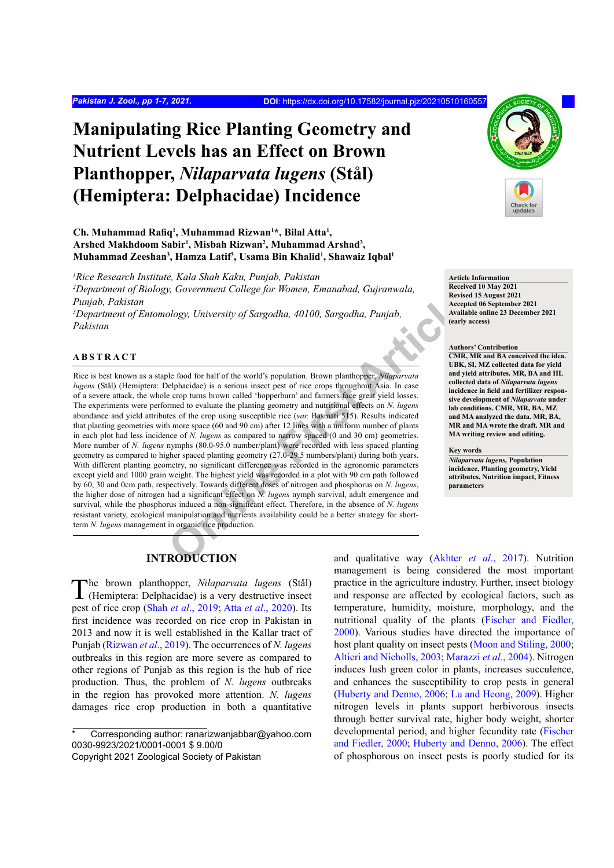# **Manipulating Rice Planting Geometry and Nutrient Levels has an Effect on Brown Planthopper,** *Nilaparvata lugens* **(Stål) (Hemiptera: Delphacidae) Incidence**

## **Ch. Muhammad Rafiq<sup>1</sup> , Muhammad Rizwan1 \*, Bilal Atta1 ,**  Arshed Makhdoom Sabir<sup>1</sup>, Misbah Rizwan<sup>2</sup>, Muhammad Arshad<sup>3</sup>, **Muhammad Zeeshan3 , Hamza Latif3 , Usama Bin Khalid1 , Shawaiz Iqbal<sup>1</sup>**

*1 Rice Research Institute, Kala Shah Kaku, Punjab, Pakistan 2 Department of Biology, Government College for Women, Emanabad, Gujranwala, Punjab, Pakistan*

*3 Department of Entomology, University of Sargodha, 40100, Sargodha, Punjab, Pakistan*

# **ABSTRACT**

**Solutionary** Consideration Considers and Consideration and qualitative way (Akhter RODUCTION<br> **ONLINE CONSIDERATION**<br> **ONLINE Article**<br> **ONE CONSIDERATION**<br> **ONE CONSIDERATION**<br> **ONE CONSIDERATION**<br> **ONE CONSIDERATION**<br> Rice is best known as a staple food for half of the world's population. Brown planthopper, *Nilaparvata lugens* (Stål) (Hemiptera: Delphacidae) is a serious insect pest of rice crops throughout Asia. In case of a severe attack, the whole crop turns brown called 'hopperburn' and farmers face great yield losses. The experiments were performed to evaluate the planting geometry and nutritional effects on *N. lugens* abundance and yield attributes of the crop using susceptible rice (*var.* Basmati 515). Results indicated that planting geometries with more space (60 and 90 cm) after 12 lines with a uniform number of plants in each plot had less incidence of *N. lugens* as compared to narrow spaced (0 and 30 cm) geometries. More number of *N. lugens* nymphs (80.0-95.0 number/plant) were recorded with less spaced planting geometry as compared to higher spaced planting geometry (27.0-29.5 numbers/plant) during both years. With different planting geometry, no significant difference was recorded in the agronomic parameters except yield and 1000 grain weight. The highest yield was recorded in a plot with 90 cm path followed by 60, 30 and 0cm path, respectively. Towards different doses of nitrogen and phosphorus on *N. lugens*, the higher dose of nitrogen had a significant effect on *N. lugens* nymph survival, adult emergence and survival, while the phosphorus induced a non-significant effect. Therefore, in the absence of *N. lugens* resistant variety, ecological manipulation and nutrients availability could be a better strategy for shortterm *N. lugens* management in organic rice production.

# **INTRODUCTION**

The brown planthopper, *Nilaparvata lugens* (Stål) (Hemiptera: Delphacidae) is a very destructive insect pest of rice crop (Shah *et al*[., 2019;](#page-6-0) Atta *et al*[., 2020](#page-4-0)). Its first incidence was recorded on rice crop in Pakistan in 2013 and now it is well established in the Kallar tract of Punjab ([Rizwan](#page-5-0) *et al*., 2019). The occurrences of *N. lugens* outbreaks in this region are more severe as compared to other regions of Punjab as this region is the hub of rice production. Thus, the problem of *N. lugens* outbreaks in the region has provoked more attention. *N. lugens* damages rice crop production in both a quantitative

Corresponding author: ranarizwanjabbar@yahoo.com 0030-9923/2021/0001-0001 \$ 9.00/0

and qualitative way (Akhter *et al*., 2017). Nutrition management is being considered the most important practice in the agriculture industry. Further, insect biology and response are affected by ecological factors, such as temperature, humidity, moisture, morphology, and the nutritional quality of the plants [\(Fischer and Fiedler,](#page-4-2) [2000\)](#page-4-2). Various studies have directed the importance of host plant quality on insect pests [\(Moon and Stiling, 2000;](#page-5-1) [Altieri and Nicholls, 2003;](#page-4-3) [Marazzi](#page-5-2) *et al*., 2004). Nitrogen induces lush green color in plants, increases succulence, and enhances the susceptibility to crop pests in general [\(Huberty and Denno, 2006;](#page-5-3) [Lu and Heong, 2009](#page-5-4)). Higher nitrogen levels in plants support herbivorous insects through better survival rate, higher body weight, shorter developmental period, and higher fecundity rate [\(Fischer](#page-4-2) [and Fiedler, 2000;](#page-4-2) [Huberty and Denno, 2006](#page-5-3)). The effect of phosphorous on insect pests is poorly studied for its



**Article Information Received 10 May 2021 Revised 15 August 2021 Accepted 06 September 2021 Available online 23 December 2021 (early access)**

#### **Authors' Contribution**

**CMR, MR and BA conceived the idea. UBK, SI, MZ collected data for yield and yield attributes. MR, BA and HL collected data of** *Nilaparvata lugens* **incidence in field and fertilizer responsive development of** *Nilaparvata* **under lab conditions. CMR, MR, BA, MZ and MA analyzed the data. MR, BA, MR and MA wrote the draft. MR and MA writing review and editing.** 

#### **Key words**

*Nilaparvata lugens,* **Population incidence, Planting geometry, Yield attributes, Nutrition impact, Fitness parameters**

Copyright 2021 Zoological Society of Pakistan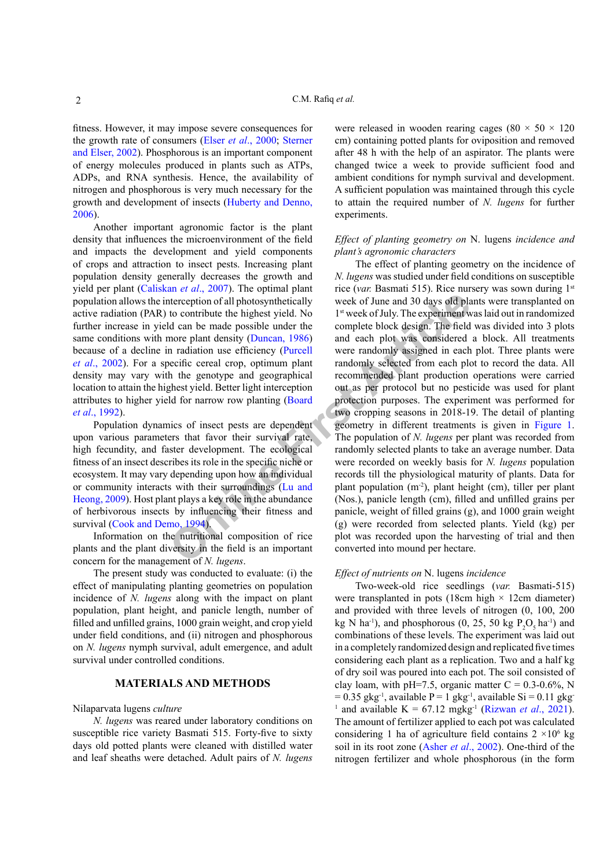fitness. However, it may impose severe consequences for the growth rate of consumers (Elser *et al*[., 2000](#page-4-4); [Sterner](#page-6-1) [and Elser, 2002](#page-6-1)). Phosphorous is an important component of energy molecules produced in plants such as ATPs, ADPs, and RNA synthesis. Hence, the availability of nitrogen and phosphorous is very much necessary for the growth and development of insects [\(Huberty and Denno,](#page-5-3) [2006\)](#page-5-3).

Another important agronomic factor is the plant density that influences the microenvironment of the field and impacts the development and yield components of crops and attraction to insect pests. Increasing plant population density generally decreases the growth and yield per plant ([Caliskan](#page-4-5) *et al*., 2007). The optimal plant population allows the interception of all photosynthetically active radiation (PAR) to contribute the highest yield. No further increase in yield can be made possible under the same conditions with more plant density (Duncan, 1986) because of a decline in radiation use efficiency (Purcell *et al*[., 2002](#page-5-5)). For a specific cereal crop, optimum plant density may vary with the genotype and geographical location to attain the highest yield. Better light interception attributes to higher yield for narrow row planting (Board *et al*[., 1992\)](#page-4-6).

Population dynamics of insect pests are dependent upon various parameters that favor their survival rate, high fecundity, and faster development. The ecological fitness of an insect describes its role in the specific niche or ecosystem. It may vary depending upon how an individual or community interacts with their surroundings (Lu and [Heong, 2009\)](#page-5-4). Host plant plays a key role in the abundance of herbivorous insects by influencing their fitness and survival ([Cook and Demo, 1994](#page-4-7)).

Information on the nutritional composition of rice plants and the plant diversity in the field is an important concern for the management of *N. lugens*.

The present study was conducted to evaluate: (i) the effect of manipulating planting geometries on population incidence of *N. lugens* along with the impact on plant population, plant height, and panicle length, number of filled and unfilled grains, 1000 grain weight, and crop yield under field conditions, and (ii) nitrogen and phosphorous on *N. lugens* nymph survival, adult emergence, and adult survival under controlled conditions.

# **MATERIALS AND METHODS**

#### Nilaparvata lugens *culture*

*N. lugens* was reared under laboratory conditions on susceptible rice variety Basmati 515. Forty-five to sixty days old potted plants were cleaned with distilled water and leaf sheaths were detached. Adult pairs of *N. lugens*

were released in wooden rearing cages (80  $\times$  50  $\times$  120 cm) containing potted plants for oviposition and removed after 48 h with the help of an aspirator. The plants were changed twice a week to provide sufficient food and ambient conditions for nymph survival and development. A sufficient population was maintained through this cycle to attain the required number of *N. lugens* for further experiments.

## *Effect of planting geometry on* N. lugens *incidence and plant's agronomic characters*

**Exampl[e](#page-5-4) 19 Example 19 Example 19 Example 19 Example 19 Example 19 Example 19 Example 19 Example 19 Example 19 Example 19 Example 19 Example 19 Example 19 Example 19 Example 19 Example 19** The effect of planting geometry on the incidence of *N. lugens* was studied under field conditions on susceptible rice (*var.* Basmati 515). Rice nursery was sown during 1st week of June and 30 days old plants were transplanted on 1<sup>st</sup> week of July. The experiment was laid out in randomized complete block design. The field was divided into 3 plots and each plot was considered a block. All treatments were randomly assigned in each plot. Three plants were randomly selected from each plot to record the data. All recommended plant production operations were carried out as per protocol but no pesticide was used for plant protection purposes. The experiment was performed for two cropping seasons in 2018-19. The detail of planting geometry in different treatments is given in [Figure 1.](#page-2-0) The population of *N. lugens* per plant was recorded from randomly selected plants to take an average number. Data were recorded on weekly basis for *N. lugens* population records till the physiological maturity of plants. Data for plant population (m-2), plant height (cm), tiller per plant (Nos.), panicle length (cm), filled and unfilled grains per panicle, weight of filled grains (g), and 1000 grain weight (g) were recorded from selected plants. Yield (kg) per plot was recorded upon the harvesting of trial and then converted into mound per hectare.

#### *Effect of nutrients on* N. lugens *incidence*

Two-week-old rice seedlings (*var.* Basmati-515) were transplanted in pots (18cm high  $\times$  12cm diameter) and provided with three levels of nitrogen (0, 100, 200 kg N ha<sup>-1</sup>), and phosphorous (0, 25, 50 kg  $P_2O_5$  ha<sup>-1</sup>) and combinations of these levels. The experiment was laid out in a completely randomized design and replicated five times considering each plant as a replication. Two and a half kg of dry soil was poured into each pot. The soil consisted of clay loam, with pH=7.5, organic matter  $C = 0.3{\text -}0.6\%$ , N  $= 0.35$  gkg<sup>-1</sup>, available P = 1 gkg<sup>-1</sup>, available Si = 0.11 gkg <sup>1</sup> and available K = 67.12 mgkg<sup>-1</sup> ([Rizwan](#page-5-6) *et al.*, 2021). The amount of fertilizer applied to each pot was calculated considering 1 ha of agriculture field contains  $2 \times 10^6$  kg soil in its root zone (Asher *et al*[., 2002\)](#page-4-8). One-third of the nitrogen fertilizer and whole phosphorous (in the form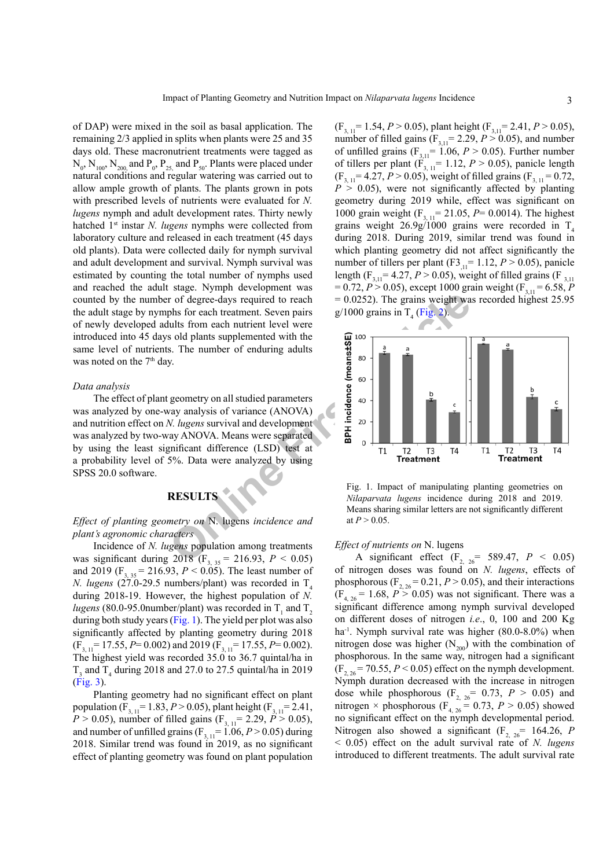of DAP) were mixed in the soil as basal application. The remaining 2/3 applied in splits when plants were 25 and 35 days old. These macronutrient treatments were tagged as  $N_{0}$ ,  $N_{100}$ ,  $N_{200}$  and  $P_{0}$ ,  $P_{25}$  and  $P_{50}$ . Plants were placed under natural conditions and regular watering was carried out to allow ample growth of plants. The plants grown in pots with prescribed levels of nutrients were evaluated for *N. lugens* nymph and adult development rates. Thirty newly hatched 1<sup>st</sup> instar *N. lugens* nymphs were collected from laboratory culture and released in each treatment (45 days old plants). Data were collected daily for nymph survival and adult development and survival. Nymph survival was estimated by counting the total number of nymphs used and reached the adult stage. Nymph development was counted by the number of degree-days required to reach the adult stage by nymphs for each treatment. Seven pairs of newly developed adults from each nutrient level were introduced into 45 days old plants supplemented with the same level of nutrients. The number of enduring adults was noted on the 7<sup>th</sup> day.

#### *Data analysis*

The effect of plant geometry on all studied parameters was analyzed by one-way analysis of variance (ANOVA) and nutrition effect on *N. lugens* survival and development was analyzed by two-way ANOVA. Means were separated by using the least significant difference (LSD) test at a probability level of 5%. Data were analyzed by using SPSS 20.0 software.

# **RESULTS**

### *Effect of planting geometry on* N. lugens *incidence and plant's agronomic characters*

Incidence of *N. lugens* population among treatments was significant during  $2018$  (F<sub>3, 35</sub> = 216.93, *P* < 0.05) and 2019 (F<sub>3, 35</sub> = 216.93,  $P < 0.05$ ). The least number of *N. lugens* (27.0-29.5 numbers/plant) was recorded in  $T<sub>4</sub>$ during 2018-19. However, the highest population of *N. lugens* (80.0-95.0number/plant) was recorded in  $T_1$  and  $T_2$ during both study years [\(Fig. 1\)](#page-2-0). The yield per plot was also significantly affected by planting geometry during 2018  $(F_{3,11}= 17.55, P= 0.002)$  and 2019  $(F_{3,11}= 17.55, P= 0.002)$ . The highest yield was recorded 35.0 to 36.7 quintal/ha in  $T_3$  and  $T_4$  during 2018 and 27.0 to 27.5 quintal/ha in 2019 [\(Fig. 3](#page-3-0)).

Planting geometry had no significant effect on plant population (F<sub>3, 11</sub> = 1.83, *P* > 0.05), plant height (F<sub>3, 11</sub> = 2.41, *P* > 0.05), number of filled gains ( $F_{3, 11}$ = 2.29, *P* > 0.05), and number of unfilled grains  $(F_{3, 11} = 1.06, P > 0.05)$  during 2018. Similar trend was found in 2019, as no significant effect of planting geometry was found on plant population

 $(F_{3, 11} = 1.54, P > 0.05)$ , plant height  $(F_{3, 11} = 2.41, P > 0.05)$ , number of filled gains  $(F_{3,11} = 2.29, P > 0.05)$ , and number of unfilled grains  $(F_{3,11} = 1.06, P > 0.05)$ . Further number of tillers per plant  $(F_{3, 11} = 1.12, P > 0.05)$ , panicle length  $(F_{3, 11} = 4.27, P > 0.05)$ , weight of filled grains  $(F_{3, 11} = 0.72, F_{3, 11} = 0.72)$  $P > 0.05$ ), were not significantly affected by planting geometry during 2019 while, effect was significant on 1000 grain weight (F<sub>3, 11</sub>= 21.05, *P*= 0.0014). The highest grains weight  $26.9g/1000$  grains were recorded in T<sub>4</sub> during 2018. During 2019, similar trend was found in which planting geometry did not affect significantly the number of tillers per plant (F3<sub>,11</sub>= 1.12, *P* > 0.05), panicle length (F<sub>3,11</sub>= 4.27, *P* > 0.05), weight of filled grains (F<sub>3,11</sub>)  $= 0.72, P > 0.05$ , except 1000 grain weight (F<sub>3,11</sub> = 6.58, *P*  $= 0.0252$ ). The grains weight was recorded highest 25.95  $g/1000$  grains in T<sub>4</sub> (Fig. 2).



<span id="page-2-0"></span>Fig. 1. Impact of manipulating planting geometries on *Nilaparvata lugens* incidence during 2018 and 2019. Means sharing similar letters are not significantly different at  $P > 0.05$ .

#### *Effect of nutrients on* N. lugens

A significant effect  $(F_{2, 26} = 589.47, P < 0.05)$ of nitrogen doses was found on *N. lugens*, effects of phosphorous  $(F_{2, 26} = 0.21, P > 0.05)$ , and their interactions  $(F<sub>4, 26</sub> = 1.68, P > 0.05)$  was not significant. There was a significant difference among nymph survival developed on different doses of nitrogen *i.e*., 0, 100 and 200 Kg ha<sup>-1</sup>. Nymph survival rate was higher  $(80.0-8.0\%)$  when nitrogen dose was higher  $(N_{200})$  with the combination of phosphorous. In the same way, nitrogen had a significant  $(F_{2, 26} = 70.55, P < 0.05)$  effect on the nymph development. Nymph duration decreased with the increase in nitrogen dose while phosphorous  $(F_{2, 26} = 0.73, P > 0.05)$  and nitrogen  $\times$  phosphorous (F<sub>4, 26</sub> = 0.73, P > 0.05) showed no significant effect on the nymph developmental period. Nitrogen also showed a significant  $(F_{2, 26} = 164.26, P$ < 0.05) effect on the adult survival rate of *N. lugens* introduced to different treatments. The adult survival rate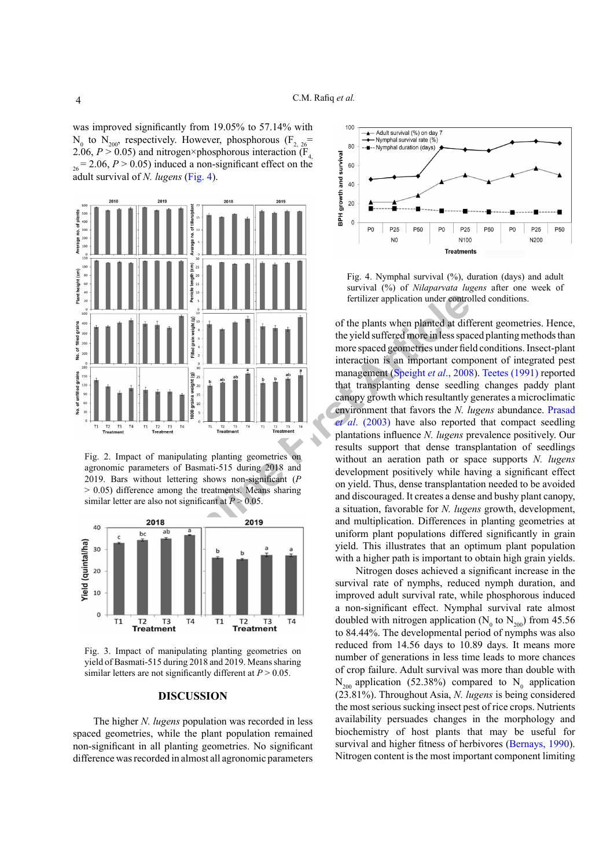was improved significantly from 19.05% to 57.14% with  $N_0$  to  $N_{200}$ , respectively. However, phosphorous  $(F_{2, 26}$ 2.06,  $P > 0.05$ ) and nitrogen×phosphorous interaction ( $\overline{F}_4$ )  $_{26}$  = 2.06, *P* > 0.05) induced a non-significant effect on the adult survival of *N. lugens* [\(Fig. 4\)](#page-3-2).



<span id="page-3-1"></span>Fig. 2. Impact of manipulating planting geometries on agronomic parameters of Basmati-515 during 2018 and 2019. Bars without lettering shows non-significant (*P* > 0.05) difference among the treatments. Means sharing similar letter are also not significant at  $P > 0.05$ .



<span id="page-3-0"></span>Fig. 3. Impact of manipulating planting geometries on yield of Basmati-515 during 2018 and 2019. Means sharing similar letters are not significantly different at  $P > 0.05$ .

## **DISCUSSION**

The higher *N. lugens* population was recorded in less spaced geometries, while the plant population remained non-significant in all planting geometries. No significant difference was recorded in almost all agronomic parameters



<span id="page-3-2"></span>Fig. 4. Nymphal survival  $(\%)$ , duration (days) and adult survival (%) of *Nilaparvata lugens* after one week of fertilizer application under controlled conditions.

**Example the set of the plant is the plant when planted at different and discouraged. It creates a density and multiplication is an important computation is an important computation is an important computation is an impor** of the plants when planted at different geometries. Hence, the yield suffered more in less spaced planting methods than more spaced geometries under field conditions. Insect-plant interaction is an important component of integrated pest management (Speight *et al*., 2008). [Teetes \(1991\)](#page-6-3) reported that transplanting dense seedling changes paddy plant canopy growth which resultantly generates a microclimatic environment that favors the *N. lugens* abundance. [Prasad](#page-5-7)  *et al*. (2003) have also reported that compact seedling plantations influence *N. lugens* prevalence positively. Our results support that dense transplantation of seedlings without an aeration path or space supports *N. lugens* development positively while having a significant effect on yield. Thus, dense transplantation needed to be avoided and discouraged. It creates a dense and bushy plant canopy, a situation, favorable for *N. lugens* growth, development, and multiplication. Differences in planting geometries at uniform plant populations differed significantly in grain yield. This illustrates that an optimum plant population with a higher path is important to obtain high grain yields.

> Nitrogen doses achieved a significant increase in the survival rate of nymphs, reduced nymph duration, and improved adult survival rate, while phosphorous induced a non-significant effect. Nymphal survival rate almost doubled with nitrogen application ( $N_0$  to  $N_{200}$ ) from 45.56 to 84.44%. The developmental period of nymphs was also reduced from 14.56 days to 10.89 days. It means more number of generations in less time leads to more chances of crop failure. Adult survival was more than double with  $N_{200}$  application (52.38%) compared to  $N_0$  application (23.81%). Throughout Asia, *N. lugens* is being considered the most serious sucking insect pest of rice crops. Nutrients availability persuades changes in the morphology and biochemistry of host plants that may be useful for survival and higher fitness of herbivores ([Bernays, 1990](#page-4-9)). Nitrogen content is the most important component limiting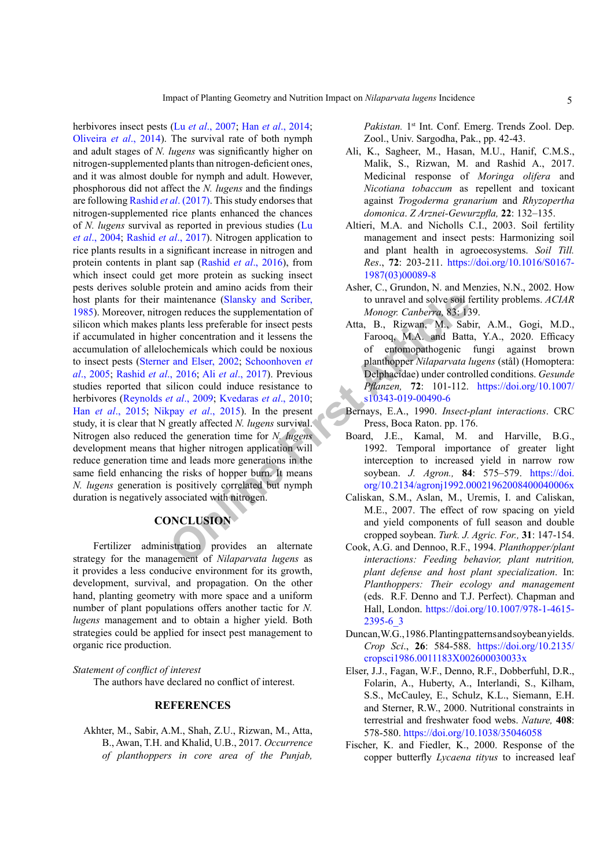maintenance (Slansky and Scriber, to unravel and solve soil f<br>gen reduces the supplementation of *Monogr. Canberra*, 83: 13<br>ants less preferable for insect pests<br>Atta, B., Rizwan, M., Sab<br>enhemicals which could be noxious herbivores insect pests (Lu *et al*[., 2007;](#page-5-8) Han *et al*[., 2014](#page-5-9); [Oliveira](#page-5-10) *et al*., 2014). The survival rate of both nymph and adult stages of *N. lugens* was significantly higher on nitrogen-supplemented plants than nitrogen-deficient ones, and it was almost double for nymph and adult. However, phosphorous did not affect the *N. lugens* and the findings are following Rashid *et al*[. \(2017\).](#page-5-11) This study endorses that nitrogen-supplemented rice plants enhanced the chances of *N. lugens* survival as reported in previous studies ([Lu](#page-5-12) *et al*[., 2004;](#page-5-12) [Rashid](#page-5-11) *et al*., 2017). Nitrogen application to rice plants results in a significant increase in nitrogen and protein contents in plant sap [\(Rashid](#page-5-13) *et al*., 2016), from which insect could get more protein as sucking insect pests derives soluble protein and amino acids from their host plants for their maintenance (Slansky and Scriber, [1985\)](#page-6-4). Moreover, nitrogen reduces the supplementation of silicon which makes plants less preferable for insect pests if accumulated in higher concentration and it lessens the accumulation of allelochemicals which could be noxious to insect pests [\(Sterner and Elser, 2002;](#page-6-1) Schoonhoven *et al*[., 2005;](#page-5-14) Rashid *et al*., 2016; Ali *et al*., 2017). Previous studies reported that silicon could induce resistance to herbivores (Reynolds *et al*., 2009; Kvedaras *et al*., 2010; Han *et al*[., 2015;](#page-5-17) Nikpay *et al*., 2015). In the present study, it is clear that N greatly affected *N. lugens* survival. Nitrogen also reduced the generation time for *N. lugens* development means that higher nitrogen application will reduce generation time and leads more generations in the same field enhancing the risks of hopper burn. It means *N. lugens* generation is positively correlated but nymph duration is negatively associated with nitrogen.

# **CONCLUSION**

Fertilizer administration provides an alternate strategy for the management of *Nilaparvata lugens* as it provides a less conducive environment for its growth, development, survival, and propagation. On the other hand, planting geometry with more space and a uniform number of plant populations offers another tactic for *N. lugens* management and to obtain a higher yield. Both strategies could be applied for insect pest management to organic rice production.

*Statement of conflict of interest*

The authors have declared no conflict of interest.

## **REFERENCES**

<span id="page-4-1"></span>Akhter, M., Sabir, A.M., Shah, Z.U., Rizwan, M., Atta, B., Awan, T.H. and Khalid, U.B., 2017. *Occurrence of planthoppers in core area of the Punjab,*  Pakistan. 1<sup>st</sup> Int. Conf. Emerg. Trends Zool. Dep. Zool., Univ. Sargodha, Pak., pp. 42-43.

- <span id="page-4-10"></span>Ali, K., Sagheer, M., Hasan, M.U., Hanif, C.M.S., Malik, S., Rizwan, M. and Rashid A., 2017. Medicinal response of *Moringa olifera* and *Nicotiana tobaccum* as repellent and toxicant against *Trogoderma granarium* and *Rhyzopertha domonica*. *Z Arznei-Gewurzpfla,* **22**: 132–135.
- <span id="page-4-3"></span>Altieri, M.A. and Nicholls C.I., 2003. Soil fertility management and insect pests: Harmonizing soil and plant health in agroecosystems. *Soil Till. Res*., **72**: 203-211. [https://doi.org/10.1016/S0167-](https://doi.org/10.1016/S0167-1987(03)00089-8) [1987\(03\)00089-8](https://doi.org/10.1016/S0167-1987(03)00089-8)
- <span id="page-4-8"></span>Asher, C., Grundon, N. and Menzies, N.N., 2002. How to unravel and solve soil fertility problems. *ACIAR Monogr. Canberra,* 83: 139.
- <span id="page-4-0"></span>Atta, B., Rizwan, M., Sabir, A.M., Gogi, M.D., Farooq, M.A. and Batta, Y.A., 2020. Efficacy of entomopathogenic fungi against brown planthopper *Nilaparvata lugens* (stål) (Homoptera: Delphacidae) under controlled conditions. *Gesunde Pflanzen,* **72**: 101-112. [https://doi.org/10.1007/](https://doi.org/10.1007/s10343-019-00490-6) s10343-019-00490-6
- <span id="page-4-9"></span>Bernays, E.A., 1990. *Insect-plant interactions*. CRC Press, Boca Raton. pp. 176.
- <span id="page-4-6"></span>Board, J.E., Kamal, M. and Harville, B.G., 1992. Temporal importance of greater light interception to increased yield in narrow row soybean. *J. Agron.,* **84**: 575–579. [https://doi.](https://doi.org/10.2134/agronj1992.00021962008400040006x) [org/10.2134/agronj1992.00021962008400040006x](https://doi.org/10.2134/agronj1992.00021962008400040006x)
- <span id="page-4-5"></span>Caliskan, S.M., Aslan, M., Uremis, I. and Caliskan, M.E., 2007. The effect of row spacing on yield and yield components of full season and double cropped soybean. *Turk. J. Agric. For.,* **31**: 147-154.
- <span id="page-4-7"></span>Cook, A.G. and Dennoo, R.F., 1994. *Planthopper/plant interactions: Feeding behavior, plant nutrition, plant defense and host plant specialization*. In: *Planthoppers: Their ecology and management*  (eds. R.F. Denno and T.J. Perfect). Chapman and Hall, London. [https://doi.org/10.1007/978-1-4615-](https://doi.org/10.1007/978-1-4615-2395-6_3) [2395-6\\_3](https://doi.org/10.1007/978-1-4615-2395-6_3)
- Duncan, W.G., 1986.Planting patterns and soybean yields. *Crop Sci*., **26**: 584-588. [https://doi.org/10.2135/](https://doi.org/10.2135/cropsci1986.0011183X002600030033x) [cropsci1986.0011183X002600030033x](https://doi.org/10.2135/cropsci1986.0011183X002600030033x)
- <span id="page-4-4"></span>Elser, J.J., Fagan, W.F., Denno, R.F., Dobberfuhl, D.R., Folarin, A., Huberty, A., Interlandi, S., Kilham, S.S., McCauley, E., Schulz, K.L., Siemann, E.H. and Sterner, R.W., 2000. Nutritional constraints in terrestrial and freshwater food webs. *Nature,* **408**: 578-580.<https://doi.org/10.1038/35046058>
- <span id="page-4-2"></span>Fischer, K. and Fiedler, K., 2000. Response of the copper butterfly *Lycaena tityus* to increased leaf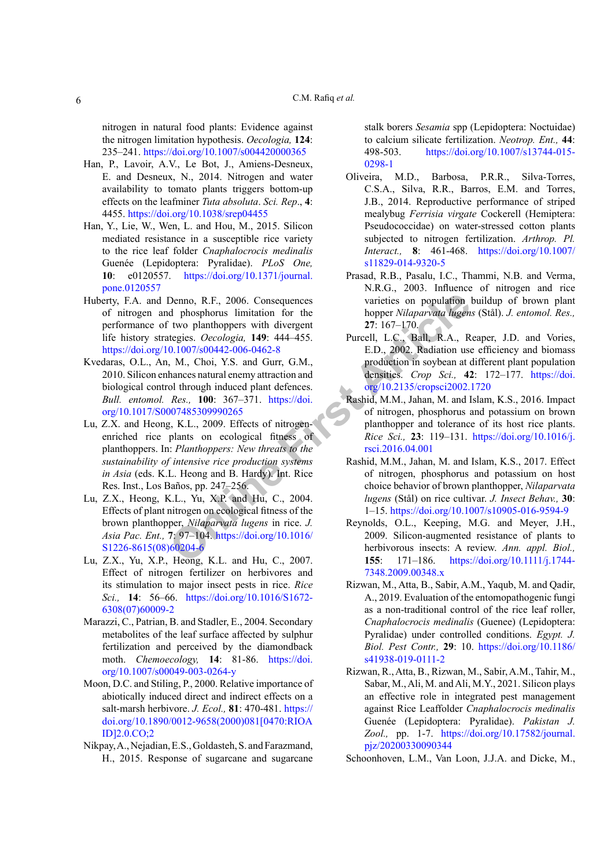nitrogen in natural food plants: Evidence against the nitrogen limitation hypothesis. *Oecologia,* **124**: 235–241.<https://doi.org/10.1007/s004420000365>

- <span id="page-5-9"></span>Han, P., Lavoir, A.V., Le Bot, J., Amiens-Desneux, E. and Desneux, N., 2014. Nitrogen and water availability to tomato plants triggers bottom-up effects on the leafminer *Tuta absoluta*. *Sci. Rep*., **4**: 4455.<https://doi.org/10.1038/srep04455>
- <span id="page-5-17"></span>Han, Y., Lie, W., Wen, L. and Hou, M., 2015. Silicon mediated resistance in a susceptible rice variety to the rice leaf folder *Cnaphalocrocis medinalis*  Guenée (Lepidoptera: Pyralidae). *PLoS One,* **10**: e0120557. [https://doi.org/10.1371/journal.](https://doi.org/10.1371/journal.pone.0120557) [pone.0120557](https://doi.org/10.1371/journal.pone.0120557)
- <span id="page-5-3"></span>Huberty, F.A. and Denno, R.F., 2006. Consequences of nitrogen and phosphorus limitation for the performance of two planthoppers with divergent life history strategies. *Oecologia,* **149**: 444–455. <https://doi.org/10.1007/s00442-006-0462-8>
- <span id="page-5-16"></span><span id="page-5-4"></span>Kvedaras, O.L., An, M., Choi, Y.S. and Gurr, G.M., 2010. Silicon enhances natural enemy attraction and biological control through induced plant defences. *Bull. entomol. Res.,* **100**: 367–371. https://doi. [org/10.1017/S0007485309990265](https://doi.org/10.1017/S0007485309990265)
- De[n](https://doi.org/10.1016/S1226-8615(08)60204-6)no, R.F., 2006. Consequences<br>
varie[t](https://doi.org/10.2135/cropsci2002.1720)ies on population<br>
d phosphorus limitation for the<br>
two planthoppers with divergent<br>
27:167-170.<br>
0.1007/s00442-006-0462-8<br>
0.1007/s00442-006-0462-8<br>
M., Choi, Y.S. and Gurr, G.M.,<br>
m Lu, Z.X. and Heong, K.L., 2009. Effects of nitrogenenriched rice plants on ecological fitness of planthoppers. In: *Planthoppers: New threats to the sustainability of intensive rice production systems in Asia* (eds. K.L. Heong and B. Hardy). Int. Rice Res. Inst., Los Baños, pp. 247–256.
- <span id="page-5-12"></span>Lu, Z.X., Heong, K.L., Yu, X.P. and Hu, C., 2004. Effects of plant nitrogen on ecological fitness of the brown planthopper, *Nilaparvata lugens* in rice. *J. Asia Pac. Ent.,* **7**: 97–104. https://doi.org/10.1016/ [S1226-8615\(08\)60204-6](https://doi.org/10.1016/S1226-8615(08)60204-6)
- <span id="page-5-8"></span>Lu, Z.X., Yu, X.P., Heong, K.L. and Hu, C., 2007. Effect of nitrogen fertilizer on herbivores and its stimulation to major insect pests in rice. *Rice Sci.,* **14**: 56–66. [https://doi.org/10.1016/S1672-](https://doi.org/10.1016/S1672-6308(07)60009-2) [6308\(07\)60009-2](https://doi.org/10.1016/S1672-6308(07)60009-2)
- <span id="page-5-2"></span>Marazzi, C., Patrian, B. and Stadler, E., 2004. Secondary metabolites of the leaf surface affected by sulphur fertilization and perceived by the diamondback moth. *Chemoecology,* **14**: 81-86. [https://doi.](https://doi.org/10.1007/s00049-003-0264-y) [org/10.1007/s00049-003-0264-y](https://doi.org/10.1007/s00049-003-0264-y)
- <span id="page-5-1"></span>Moon, D.C. and Stiling, P., 2000. Relative importance of abiotically induced direct and indirect effects on a salt-marsh herbivore. *J. Ecol.,* **81**: 470-481. [https://](https://doi.org/10.1890/0012-9658(2000)081%5b0470:RIOAID%5d2.0.CO;2) [doi.org/10.1890/0012-9658\(2000\)081\[0470:RIOA](https://doi.org/10.1890/0012-9658(2000)081%5b0470:RIOAID%5d2.0.CO;2) [ID\]2.0.CO;2](https://doi.org/10.1890/0012-9658(2000)081%5b0470:RIOAID%5d2.0.CO;2)
- <span id="page-5-18"></span>Nikpay, A., Nejadian, E.S., Goldasteh, S. and Farazmand, H., 2015. Response of sugarcane and sugarcane

stalk borers *Sesamia* spp (Lepidoptera: Noctuidae) to calcium silicate fertilization. *Neotrop. Ent.,* **44**: 498-503. [https://doi.org/10.1007/s13744-015-](https://doi.org/10.1007/s13744-015-0298-1) [0298-1](https://doi.org/10.1007/s13744-015-0298-1)

- <span id="page-5-10"></span>Oliveira, M.D., Barbosa, P.R.R., Silva-Torres, C.S.A., Silva, R.R., Barros, E.M. and Torres, J.B., 2014. Reproductive performance of striped mealybug *Ferrisia virgate* Cockerell (Hemiptera: Pseudococcidae) on water-stressed cotton plants subjected to nitrogen fertilization. *Arthrop. Pl. Interact.,* **8**: 461-468. [https://doi.org/10.1007/](https://doi.org/10.1007/s11829-014-9320-5) [s11829-014-9320-5](https://doi.org/10.1007/s11829-014-9320-5)
- <span id="page-5-7"></span>Prasad, R.B., Pasalu, I.C., Thammi, N.B. and Verma, N.R.G., 2003. Influence of nitrogen and rice varieties on population buildup of brown plant hopper *Nilaparvata lugens* (Stål). *J. entomol. Res.,* **27**: 167–170.
- <span id="page-5-5"></span>Purcell, L.C., Ball, R.A., Reaper, J.D. and Vories, E.D., 2002. Radiation use efficiency and biomass production in soybean at different plant population densities. *Crop Sci.,* **42**: 172–177. [https://doi.](https://doi.org/10.2135/cropsci2002.1720) org/10.2135/cropsci2002.1720
- <span id="page-5-13"></span>Rashid, M.M., Jahan, M. and Islam, K.S., 2016. Impact of nitrogen, phosphorus and potassium on brown planthopper and tolerance of its host rice plants. *Rice Sci.,* **23**: 119–131. [https://doi.org/10.1016/j.](https://doi.org/10.1016/j.rsci.2016.04.001) rsci.2016.04.001
- <span id="page-5-11"></span>Rashid, M.M., Jahan, M. and Islam, K.S., 2017. Effect of nitrogen, phosphorus and potassium on host choice behavior of brown planthopper, *Nilaparvata lugens* (Stål) on rice cultivar. *J. Insect Behav.,* **30**: 1–15.<https://doi.org/10.1007/s10905-016-9594-9>
- <span id="page-5-15"></span>Reynolds, O.L., Keeping, M.G. and Meyer, J.H., 2009. Silicon-augmented resistance of plants to herbivorous insects: A review. *Ann. appl. Biol.,* **155**: 171–186. [https://doi.org/10.1111/j.1744-](https://doi.org/10.1111/j.1744-7348.2009.00348.x) [7348.2009.00348.x](https://doi.org/10.1111/j.1744-7348.2009.00348.x)
- <span id="page-5-0"></span>Rizwan, M., Atta, B., Sabir, A.M., Yaqub, M. and Qadir, A., 2019. Evaluation of the entomopathogenic fungi as a non-traditional control of the rice leaf roller, *Cnaphalocrocis medinalis* (Guenee) (Lepidoptera: Pyralidae) under controlled conditions. *Egypt. J. Biol. Pest Contr.,* **29**: 10. [https://doi.org/10.1186/](https://doi.org/10.1186/s41938-019-0111-2) [s41938-019-0111-2](https://doi.org/10.1186/s41938-019-0111-2)
- <span id="page-5-6"></span>Rizwan, R., Atta, B., Rizwan, M., Sabir, A.M., Tahir, M., Sabar, M., Ali, M. and Ali, M.Y., 2021. Silicon plays an effective role in integrated pest management against Rice Leaffolder *Cnaphalocrocis medinalis*  Guenée (Lepidoptera: Pyralidae). *Pakistan J. Zool.,* pp. 1-7. [https://doi.org/10.17582/journal.](https://doi.org/10.17582/journal.pjz/20200330090344) [pjz/20200330090344](https://doi.org/10.17582/journal.pjz/20200330090344)
- <span id="page-5-14"></span>Schoonhoven, L.M., Van Loon, J.J.A. and Dicke, M.,